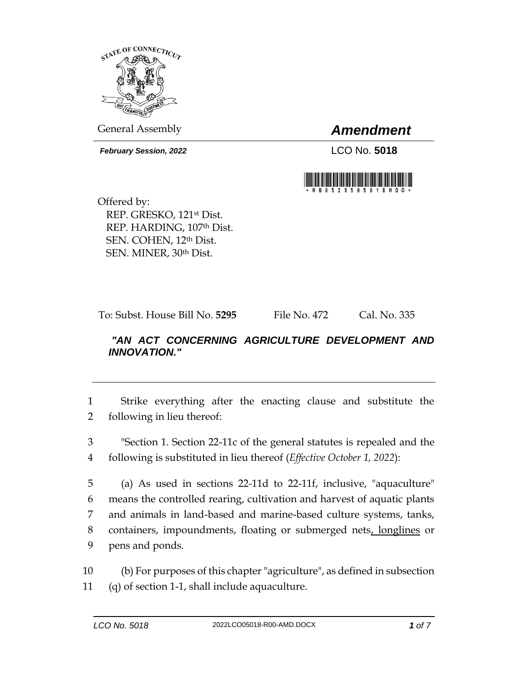

General Assembly *Amendment*

*February Session, 2022* LCO No. **5018**



Offered by: REP. GRESKO, 121st Dist. REP. HARDING, 107th Dist. SEN. COHEN, 12th Dist. SEN. MINER, 30th Dist.

To: Subst. House Bill No. **5295** File No. 472 Cal. No. 335

## *"AN ACT CONCERNING AGRICULTURE DEVELOPMENT AND INNOVATION."*

1 Strike everything after the enacting clause and substitute the 2 following in lieu thereof:

3 "Section 1. Section 22-11c of the general statutes is repealed and the 4 following is substituted in lieu thereof (*Effective October 1, 2022*):

 (a) As used in sections 22-11d to 22-11f, inclusive, "aquaculture" means the controlled rearing, cultivation and harvest of aquatic plants and animals in land-based and marine-based culture systems, tanks, 8 containers, impoundments, floating or submerged nets, longlines or pens and ponds.

10 (b) For purposes of this chapter "agriculture", as defined in subsection 11 (q) of section 1-1, shall include aquaculture.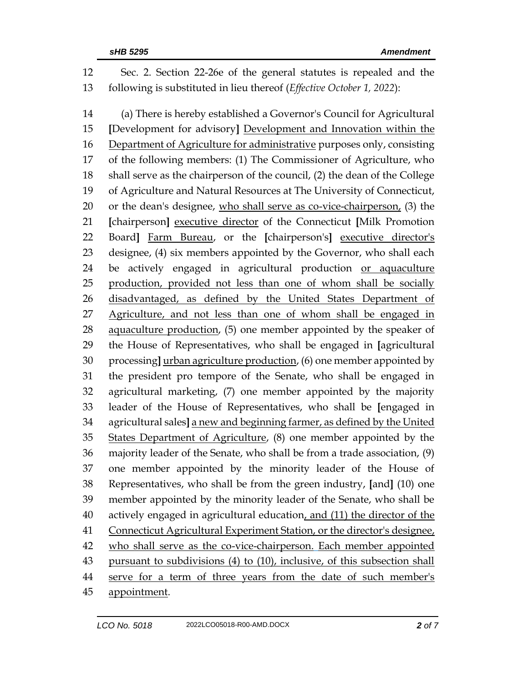Sec. 2. Section 22-26e of the general statutes is repealed and the following is substituted in lieu thereof (*Effective October 1, 2022*): (a) There is hereby established a Governor's Council for Agricultural **[**Development for advisory**]** Development and Innovation within the Department of Agriculture for administrative purposes only, consisting of the following members: (1) The Commissioner of Agriculture, who shall serve as the chairperson of the council, (2) the dean of the College of Agriculture and Natural Resources at The University of Connecticut, or the dean's designee, who shall serve as co-vice-chairperson, (3) the **[**chairperson**]** executive director of the Connecticut **[**Milk Promotion Board**]** Farm Bureau, or the **[**chairperson's**]** executive director's designee, (4) six members appointed by the Governor, who shall each be actively engaged in agricultural production or aquaculture production, provided not less than one of whom shall be socially disadvantaged, as defined by the United States Department of Agriculture, and not less than one of whom shall be engaged in 28 aquaculture production, (5) one member appointed by the speaker of the House of Representatives, who shall be engaged in **[**agricultural processing**]** urban agriculture production, (6) one member appointed by the president pro tempore of the Senate, who shall be engaged in agricultural marketing, (7) one member appointed by the majority leader of the House of Representatives, who shall be **[**engaged in agricultural sales**]** a new and beginning farmer, as defined by the United States Department of Agriculture, (8) one member appointed by the majority leader of the Senate, who shall be from a trade association, (9) one member appointed by the minority leader of the House of Representatives, who shall be from the green industry, **[**and**]** (10) one member appointed by the minority leader of the Senate, who shall be 40 actively engaged in agricultural education, and (11) the director of the 41 Connecticut Agricultural Experiment Station, or the director's designee, who shall serve as the co-vice-chairperson. Each member appointed pursuant to subdivisions (4) to (10), inclusive, of this subsection shall serve for a term of three years from the date of such member's 45 appointment.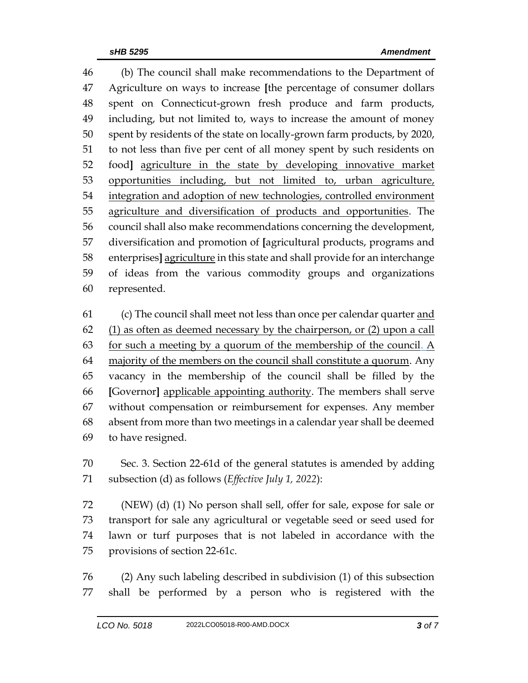(b) The council shall make recommendations to the Department of Agriculture on ways to increase **[**the percentage of consumer dollars spent on Connecticut-grown fresh produce and farm products, including, but not limited to, ways to increase the amount of money spent by residents of the state on locally-grown farm products, by 2020, to not less than five per cent of all money spent by such residents on food**]** agriculture in the state by developing innovative market opportunities including, but not limited to, urban agriculture, 54 integration and adoption of new technologies, controlled environment agriculture and diversification of products and opportunities. The council shall also make recommendations concerning the development, diversification and promotion of **[**agricultural products, programs and enterprises**]** agriculture in this state and shall provide for an interchange of ideas from the various commodity groups and organizations represented.

61 (c) The council shall meet not less than once per calendar quarter and (1) as often as deemed necessary by the chairperson, or (2) upon a call 63 for such a meeting by a quorum of the membership of the council. A majority of the members on the council shall constitute a quorum. Any vacancy in the membership of the council shall be filled by the **[**Governor**]** applicable appointing authority. The members shall serve without compensation or reimbursement for expenses. Any member absent from more than two meetings in a calendar year shall be deemed to have resigned.

 Sec. 3. Section 22-61d of the general statutes is amended by adding subsection (d) as follows (*Effective July 1, 2022*):

 (NEW) (d) (1) No person shall sell, offer for sale, expose for sale or transport for sale any agricultural or vegetable seed or seed used for lawn or turf purposes that is not labeled in accordance with the provisions of section 22-61c.

 (2) Any such labeling described in subdivision (1) of this subsection shall be performed by a person who is registered with the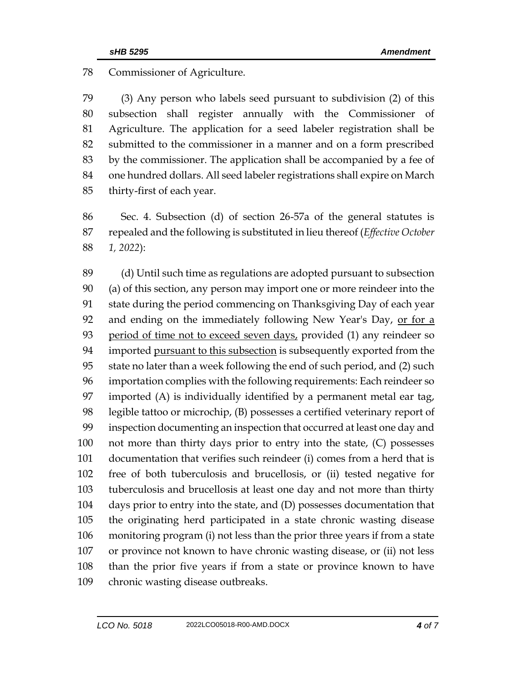Commissioner of Agriculture.

 (3) Any person who labels seed pursuant to subdivision (2) of this subsection shall register annually with the Commissioner of Agriculture. The application for a seed labeler registration shall be submitted to the commissioner in a manner and on a form prescribed by the commissioner. The application shall be accompanied by a fee of one hundred dollars. All seed labeler registrations shall expire on March thirty-first of each year.

 Sec. 4. Subsection (d) of section 26-57a of the general statutes is repealed and the following is substituted in lieu thereof (*Effective October 1, 2022*):

 (d) Until such time as regulations are adopted pursuant to subsection (a) of this section, any person may import one or more reindeer into the state during the period commencing on Thanksgiving Day of each year 92 and ending on the immediately following New Year's Day, or for a 93 period of time not to exceed seven days, provided (1) any reindeer so 94 imported pursuant to this subsection is subsequently exported from the state no later than a week following the end of such period, and (2) such importation complies with the following requirements: Each reindeer so imported (A) is individually identified by a permanent metal ear tag, legible tattoo or microchip, (B) possesses a certified veterinary report of inspection documenting an inspection that occurred at least one day and not more than thirty days prior to entry into the state, (C) possesses documentation that verifies such reindeer (i) comes from a herd that is free of both tuberculosis and brucellosis, or (ii) tested negative for tuberculosis and brucellosis at least one day and not more than thirty days prior to entry into the state, and (D) possesses documentation that the originating herd participated in a state chronic wasting disease monitoring program (i) not less than the prior three years if from a state or province not known to have chronic wasting disease, or (ii) not less than the prior five years if from a state or province known to have chronic wasting disease outbreaks.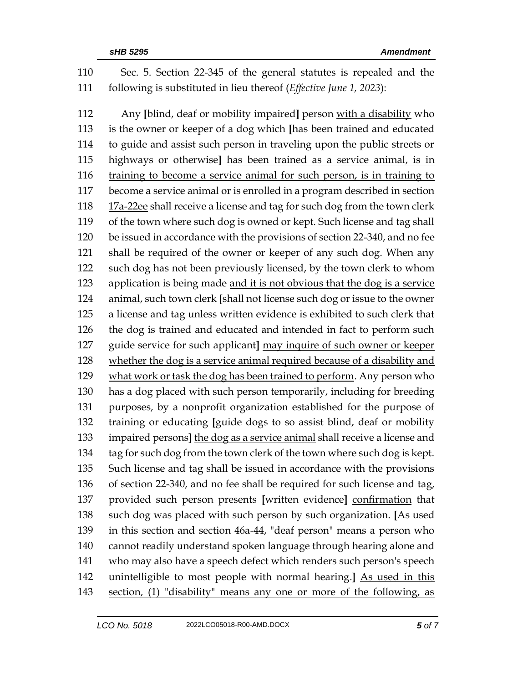Sec. 5. Section 22-345 of the general statutes is repealed and the following is substituted in lieu thereof (*Effective June 1, 2023*):

 Any **[**blind, deaf or mobility impaired**]** person with a disability who is the owner or keeper of a dog which **[**has been trained and educated to guide and assist such person in traveling upon the public streets or highways or otherwise**]** has been trained as a service animal, is in training to become a service animal for such person, is in training to become a service animal or is enrolled in a program described in section 17a-22ee shall receive a license and tag for such dog from the town clerk of the town where such dog is owned or kept. Such license and tag shall be issued in accordance with the provisions of section 22-340, and no fee shall be required of the owner or keeper of any such dog. When any 122 such dog has not been previously licensed, by the town clerk to whom application is being made and it is not obvious that the dog is a service animal, such town clerk **[**shall not license such dog or issue to the owner a license and tag unless written evidence is exhibited to such clerk that the dog is trained and educated and intended in fact to perform such guide service for such applicant**]** may inquire of such owner or keeper whether the dog is a service animal required because of a disability and 129 what work or task the dog has been trained to perform. Any person who has a dog placed with such person temporarily, including for breeding purposes, by a nonprofit organization established for the purpose of training or educating **[**guide dogs to so assist blind, deaf or mobility impaired persons**]** the dog as a service animal shall receive a license and 134 tag for such dog from the town clerk of the town where such dog is kept. Such license and tag shall be issued in accordance with the provisions of section 22-340, and no fee shall be required for such license and tag, provided such person presents **[**written evidence**]** confirmation that such dog was placed with such person by such organization. **[**As used in this section and section 46a-44, "deaf person" means a person who cannot readily understand spoken language through hearing alone and who may also have a speech defect which renders such person's speech unintelligible to most people with normal hearing.**]** As used in this 143 section, (1) "disability" means any one or more of the following, as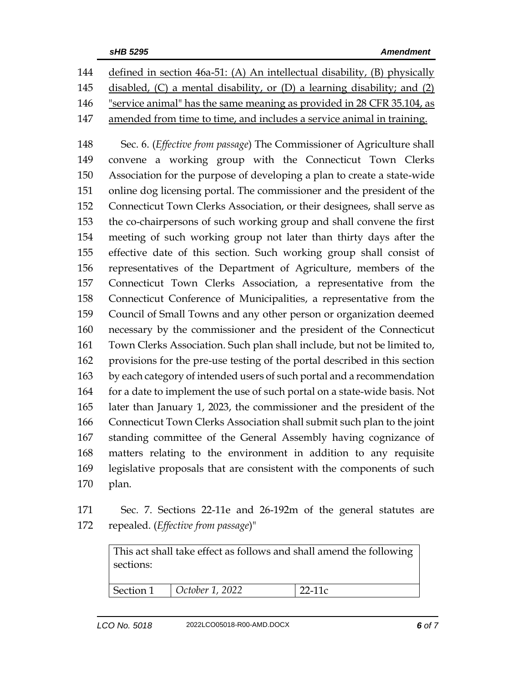| 144 | defined in section 46a-51: (A) An intellectual disability, (B) physically      |
|-----|--------------------------------------------------------------------------------|
| 145 | disabled, $(C)$ a mental disability, or $(D)$ a learning disability; and $(2)$ |
| 146 | "service animal" has the same meaning as provided in 28 CFR 35.104, as         |
| 147 | amended from time to time, and includes a service animal in training.          |

 Sec. 6. (*Effective from passage*) The Commissioner of Agriculture shall convene a working group with the Connecticut Town Clerks Association for the purpose of developing a plan to create a state-wide online dog licensing portal. The commissioner and the president of the Connecticut Town Clerks Association, or their designees, shall serve as the co-chairpersons of such working group and shall convene the first meeting of such working group not later than thirty days after the effective date of this section. Such working group shall consist of representatives of the Department of Agriculture, members of the Connecticut Town Clerks Association, a representative from the Connecticut Conference of Municipalities, a representative from the Council of Small Towns and any other person or organization deemed necessary by the commissioner and the president of the Connecticut Town Clerks Association. Such plan shall include, but not be limited to, provisions for the pre-use testing of the portal described in this section by each category of intended users of such portal and a recommendation 164 for a date to implement the use of such portal on a state-wide basis. Not later than January 1, 2023, the commissioner and the president of the Connecticut Town Clerks Association shall submit such plan to the joint standing committee of the General Assembly having cognizance of matters relating to the environment in addition to any requisite legislative proposals that are consistent with the components of such plan.

 Sec. 7. Sections 22-11e and 26-192m of the general statutes are repealed. (*Effective from passage*)"

This act shall take effect as follows and shall amend the following sections: Section 1 *October 1, 2022* 22-11c